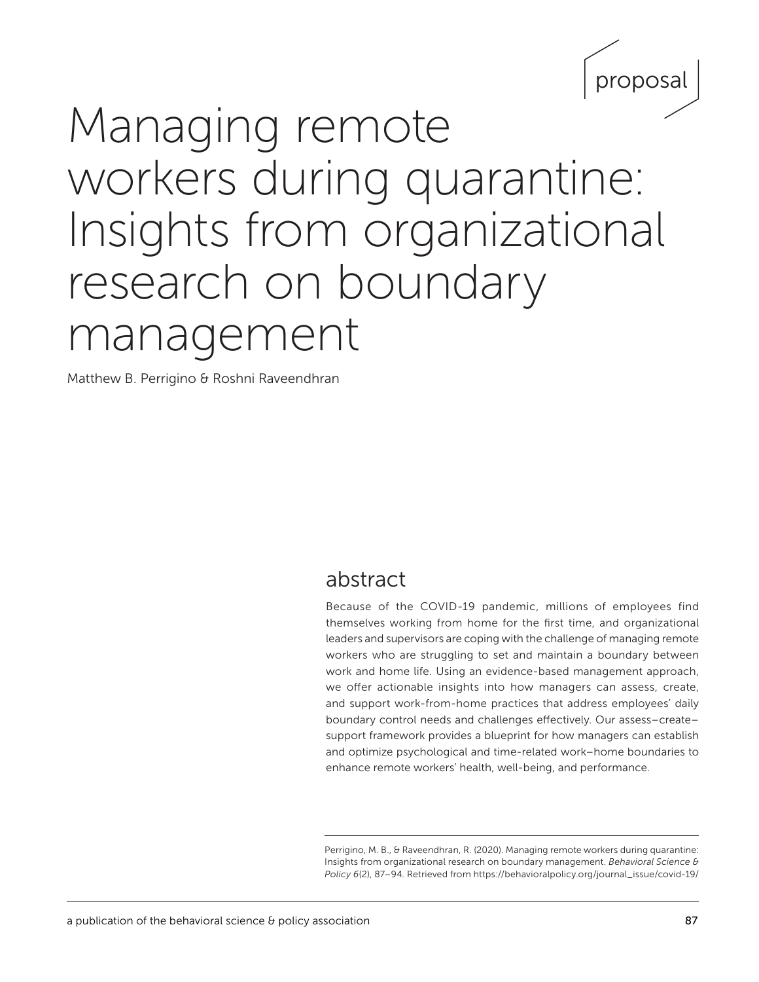

# Managing remote workers during quarantine: Insights from organizational research on boundary management

Matthew B. Perrigino & Roshni Raveendhran

# abstract

Because of the COVID-19 pandemic, millions of employees find themselves working from home for the first time, and organizational leaders and supervisors are coping with the challenge of managing remote workers who are struggling to set and maintain a boundary between work and home life. Using an evidence-based management approach, we offer actionable insights into how managers can assess, create, and support work-from-home practices that address employees' daily boundary control needs and challenges effectively. Our assess–create– support framework provides a blueprint for how managers can establish and optimize psychological and time-related work–home boundaries to enhance remote workers' health, well-being, and performance.

Perrigino, M. B., & Raveendhran, R. (2020). Managing remote workers during quarantine: Insights from organizational research on boundary management. *Behavioral Science & Policy 6*(2), 87–94*.* Retrieved from [https://behavioralpolicy.org/journal\\_issue/covid-19/](https://behavioralpolicy.org/journal_issue/covid-19/)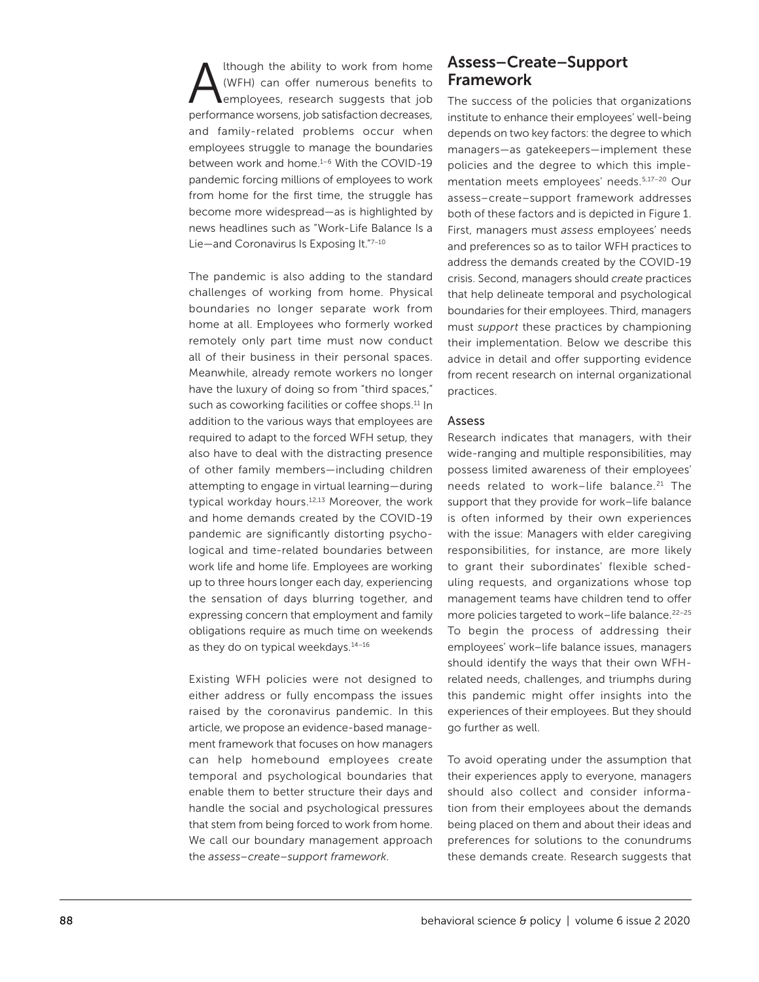Although the ability to work from home<br>(WFH) can offer numerous benefits to<br>employees, research suggests that job (WFH) can offer numerous benefits to employees, research suggests that job performance worsens, job satisfaction decreases, and family-related problems occur when employees struggle to manage the boundaries between work and home.<sup>1-6</sup> With the COVID-19 pandemic forcing millions of employees to work from home for the first time, the struggle has become more widespread—as is highlighted by news headlines such as "Work*-*Life Balance Is a Lie—and Coronavirus Is Exposing It."7–10

The pandemic is also adding to the standard challenges of working from home. Physical boundaries no longer separate work from home at all. Employees who formerly worked remotely only part time must now conduct all of their business in their personal spaces. Meanwhile, already remote workers no longer have the luxury of doing so from "third spaces," such as coworking facilities or coffee shops.<sup>11</sup> In addition to the various ways that employees are required to adapt to the forced WFH setup, they also have to deal with the distracting presence of other family members—including children attempting to engage in virtual learning—during typical workday hours.12,13 Moreover, the work and home demands created by the COVID-19 pandemic are significantly distorting psychological and time-related boundaries between work life and home life. Employees are working up to three hours longer each day, experiencing the sensation of days blurring together, and expressing concern that employment and family obligations require as much time on weekends as they do on typical weekdays.<sup>14-16</sup>

Existing WFH policies were not designed to either address or fully encompass the issues raised by the coronavirus pandemic. In this article, we propose an evidence-based management framework that focuses on how managers can help homebound employees create temporal and psychological boundaries that enable them to better structure their days and handle the social and psychological pressures that stem from being forced to work from home. We call our boundary management approach the *assess–create–support framework*.

## Assess–Create–Support Framework

The success of the policies that organizations institute to enhance their employees' well-being depends on two key factors: the degree to which managers—as gatekeepers—implement these policies and the degree to which this implementation meets employees' needs.5,17–20 Our assess–create–support framework addresses both of these factors and is depicted in Figure 1. First, managers must *assess* employees' needs and preferences so as to tailor WFH practices to address the demands created by the COVID-19 crisis. Second, managers should *create* practices that help delineate temporal and psychological boundaries for their employees. Third, managers must *support* these practices by championing their implementation. Below we describe this advice in detail and offer supporting evidence from recent research on internal organizational practices.

#### Assess

Research indicates that managers, with their wide-ranging and multiple responsibilities, may possess limited awareness of their employees' needs related to work-life balance.<sup>21</sup> The support that they provide for work–life balance is often informed by their own experiences with the issue: Managers with elder caregiving responsibilities, for instance, are more likely to grant their subordinates' flexible scheduling requests, and organizations whose top management teams have children tend to offer more policies targeted to work–life balance.<sup>22-25</sup> To begin the process of addressing their employees' work–life balance issues, managers should identify the ways that their own WFHrelated needs, challenges, and triumphs during this pandemic might offer insights into the experiences of their employees. But they should go further as well.

To avoid operating under the assumption that their experiences apply to everyone, managers should also collect and consider information from their employees about the demands being placed on them and about their ideas and preferences for solutions to the conundrums these demands create. Research suggests that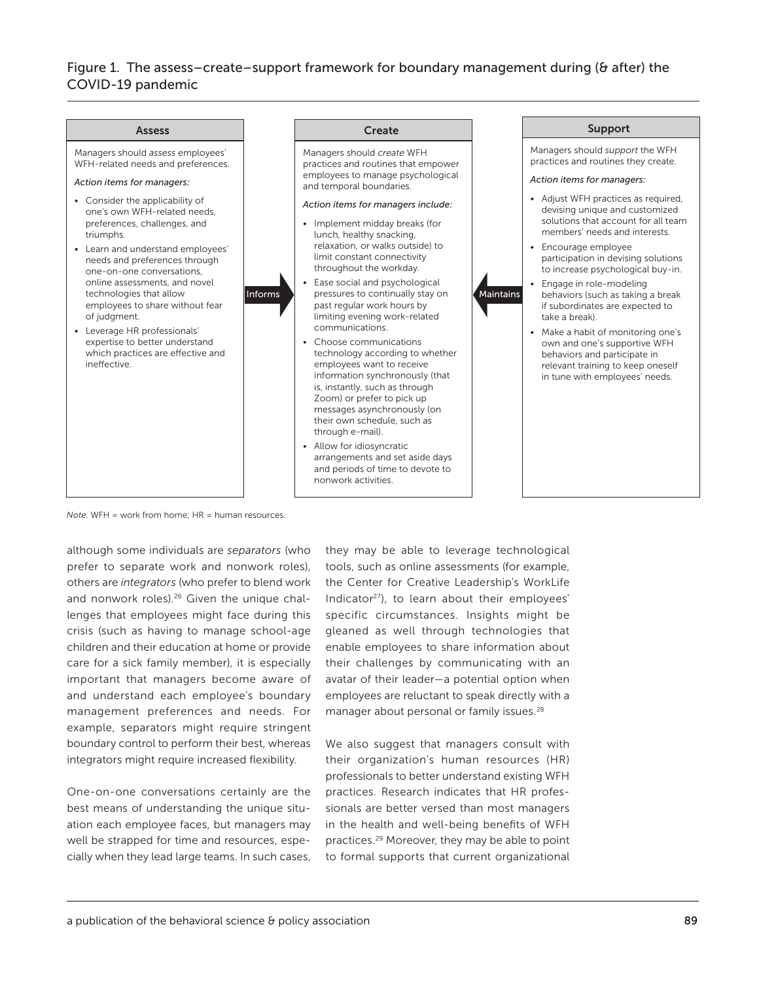## Figure 1. The assess–create–support framework for boundary management during (& after) the COVID-19 pandemic



*Note.* WFH = work from home; HR = human resources.

although some individuals are *separators* (who prefer to separate work and nonwork roles), others are *integrators* (who prefer to blend work and nonwork roles).<sup>26</sup> Given the unique challenges that employees might face during this crisis (such as having to manage school-age children and their education at home or provide care for a sick family member), it is especially important that managers become aware of and understand each employee's boundary management preferences and needs. For example, separators might require stringent boundary control to perform their best, whereas integrators might require increased flexibility.

One-on-one conversations certainly are the best means of understanding the unique situation each employee faces, but managers may well be strapped for time and resources, especially when they lead large teams. In such cases, they may be able to leverage technological tools, such as online assessments (for example, the Center for Creative Leadership's WorkLife Indicator<sup>27</sup>), to learn about their employees' specific circumstances. Insights might be gleaned as well through technologies that enable employees to share information about their challenges by communicating with an avatar of their leader—a potential option when employees are reluctant to speak directly with a manager about personal or family issues.<sup>28</sup>

We also suggest that managers consult with their organization's human resources (HR) professionals to better understand existing WFH practices. Research indicates that HR professionals are better versed than most managers in the health and well-being benefits of WFH practices.<sup>29</sup> Moreover, they may be able to point to formal supports that current organizational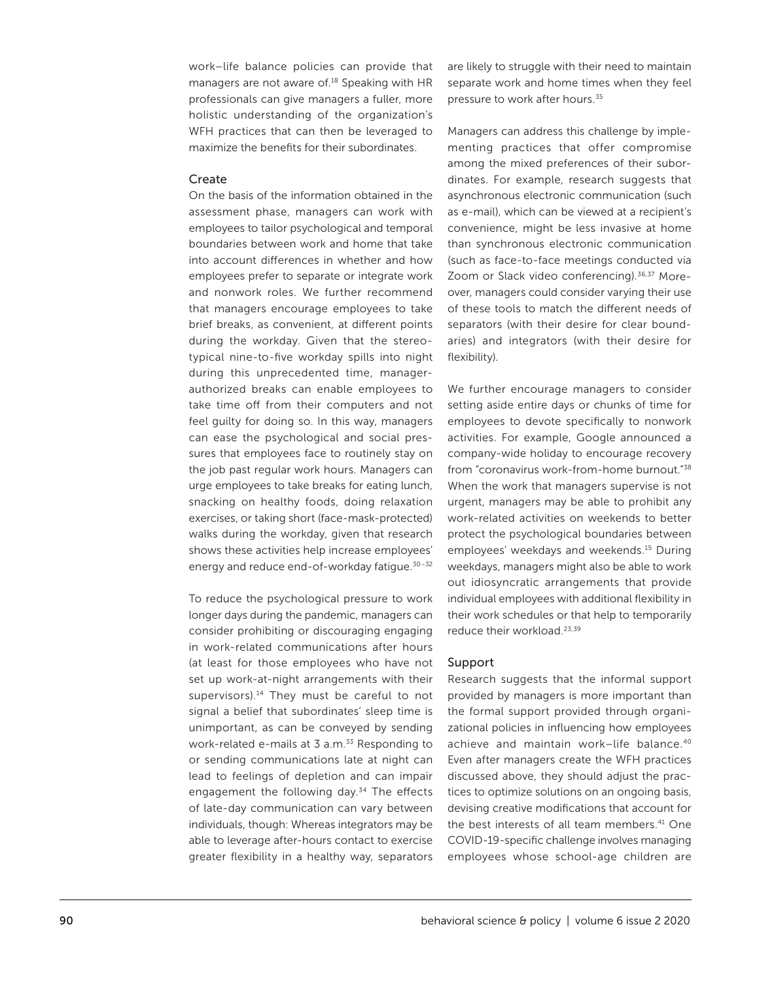work–life balance policies can provide that managers are not aware of.<sup>18</sup> Speaking with HR professionals can give managers a fuller, more holistic understanding of the organization's WFH practices that can then be leveraged to maximize the benefits for their subordinates.

#### Create

On the basis of the information obtained in the assessment phase, managers can work with employees to tailor psychological and temporal boundaries between work and home that take into account differences in whether and how employees prefer to separate or integrate work and nonwork roles. We further recommend that managers encourage employees to take brief breaks, as convenient, at different points during the workday. Given that the stereotypical nine-to-five workday spills into night during this unprecedented time, managerauthorized breaks can enable employees to take time off from their computers and not feel guilty for doing so. In this way, managers can ease the psychological and social pressures that employees face to routinely stay on the job past regular work hours. Managers can urge employees to take breaks for eating lunch, snacking on healthy foods, doing relaxation exercises, or taking short (face-mask-protected) walks during the workday, given that research shows these activities help increase employees' energy and reduce end-of-workday fatigue.30–32

To reduce the psychological pressure to work longer days during the pandemic, managers can consider prohibiting or discouraging engaging in work-related communications after hours (at least for those employees who have not set up work-at-night arrangements with their supervisors).<sup>14</sup> They must be careful to not signal a belief that subordinates' sleep time is unimportant, as can be conveyed by sending work-related e-mails at 3 a.m.<sup>33</sup> Responding to or sending communications late at night can lead to feelings of depletion and can impair engagement the following day.<sup>34</sup> The effects of late-day communication can vary between individuals, though: Whereas integrators may be able to leverage after-hours contact to exercise greater flexibility in a healthy way, separators

are likely to struggle with their need to maintain separate work and home times when they feel pressure to work after hours.<sup>35</sup>

Managers can address this challenge by implementing practices that offer compromise among the mixed preferences of their subordinates. For example, research suggests that asynchronous electronic communication (such as e-mail), which can be viewed at a recipient's convenience, might be less invasive at home than synchronous electronic communication (such as face-to-face meetings conducted via Zoom or Slack video conferencing).<sup>36,37</sup> Moreover, managers could consider varying their use of these tools to match the different needs of separators (with their desire for clear boundaries) and integrators (with their desire for flexibility).

We further encourage managers to consider setting aside entire days or chunks of time for employees to devote specifically to nonwork activities. For example, Google announced a company-wide holiday to encourage recovery from "coronavirus work-from-home burnout."38 When the work that managers supervise is not urgent, managers may be able to prohibit any work-related activities on weekends to better protect the psychological boundaries between employees' weekdays and weekends.15 During weekdays, managers might also be able to work out idiosyncratic arrangements that provide individual employees with additional flexibility in their work schedules or that help to temporarily reduce their workload.23,39

#### Support

Research suggests that the informal support provided by managers is more important than the formal support provided through organizational policies in influencing how employees achieve and maintain work–life balance.40 Even after managers create the WFH practices discussed above, they should adjust the practices to optimize solutions on an ongoing basis, devising creative modifications that account for the best interests of all team members.<sup>41</sup> One COVID-19-specific challenge involves managing employees whose school-age children are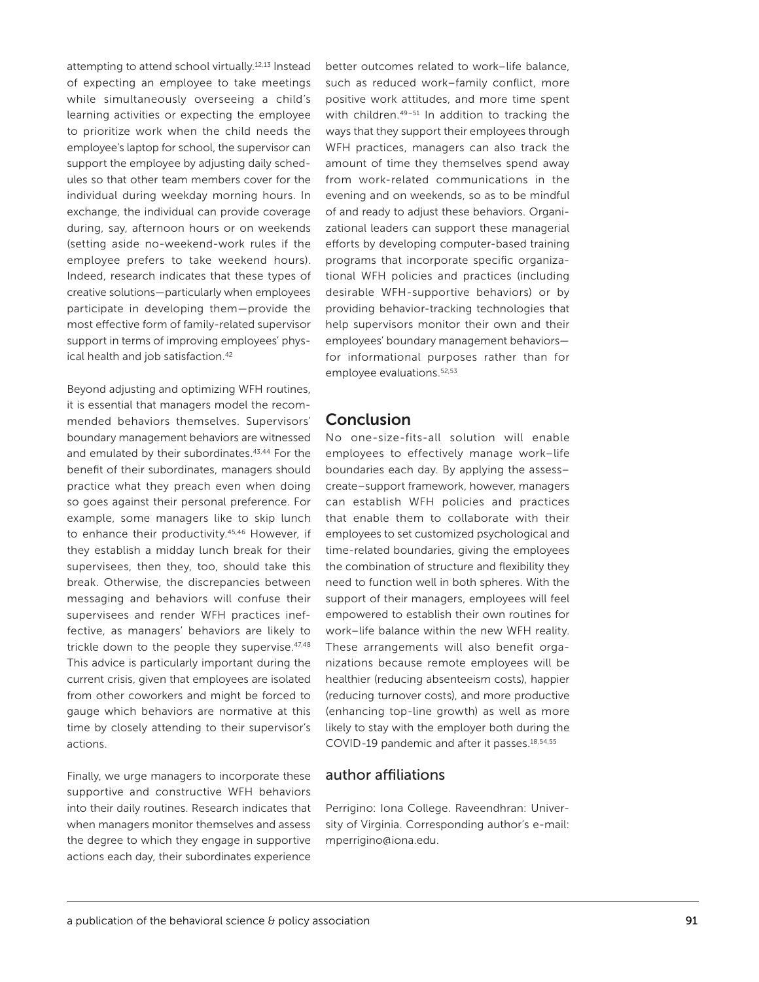attempting to attend school virtually.12,13 Instead of expecting an employee to take meetings while simultaneously overseeing a child's learning activities or expecting the employee to prioritize work when the child needs the employee's laptop for school, the supervisor can support the employee by adjusting daily schedules so that other team members cover for the individual during weekday morning hours. In exchange, the individual can provide coverage during, say, afternoon hours or on weekends (setting aside no-weekend-work rules if the employee prefers to take weekend hours). Indeed, research indicates that these types of creative solutions—particularly when employees participate in developing them—provide the most effective form of family-related supervisor support in terms of improving employees' physical health and job satisfaction.<sup>42</sup>

Beyond adjusting and optimizing WFH routines, it is essential that managers model the recommended behaviors themselves. Supervisors' boundary management behaviors are witnessed and emulated by their subordinates.<sup>43,44</sup> For the benefit of their subordinates, managers should practice what they preach even when doing so goes against their personal preference. For example, some managers like to skip lunch to enhance their productivity.45,46 However, if they establish a midday lunch break for their supervisees, then they, too, should take this break. Otherwise, the discrepancies between messaging and behaviors will confuse their supervisees and render WFH practices ineffective, as managers' behaviors are likely to trickle down to the people they supervise. 47,48 This advice is particularly important during the current crisis, given that employees are isolated from other coworkers and might be forced to gauge which behaviors are normative at this time by closely attending to their supervisor's actions.

Finally, we urge managers to incorporate these supportive and constructive WFH behaviors into their daily routines. Research indicates that when managers monitor themselves and assess the degree to which they engage in supportive actions each day, their subordinates experience

better outcomes related to work–life balance, such as reduced work–family conflict, more positive work attitudes, and more time spent with children.<sup>49-51</sup> In addition to tracking the ways that they support their employees through WFH practices, managers can also track the amount of time they themselves spend away from work-related communications in the evening and on weekends, so as to be mindful of and ready to adjust these behaviors. Organizational leaders can support these managerial efforts by developing computer-based training programs that incorporate specific organizational WFH policies and practices (including desirable WFH-supportive behaviors) or by providing behavior-tracking technologies that help supervisors monitor their own and their employees' boundary management behaviors for informational purposes rather than for employee evaluations.<sup>52,53</sup>

# **Conclusion**

No one-size-fits-all solution will enable employees to effectively manage work–life boundaries each day. By applying the assess– create–support framework, however, managers can establish WFH policies and practices that enable them to collaborate with their employees to set customized psychological and time-related boundaries, giving the employees the combination of structure and flexibility they need to function well in both spheres. With the support of their managers, employees will feel empowered to establish their own routines for work–life balance within the new WFH reality. These arrangements will also benefit organizations because remote employees will be healthier (reducing absenteeism costs), happier (reducing turnover costs), and more productive (enhancing top-line growth) as well as more likely to stay with the employer both during the COVID-19 pandemic and after it passes.18,54,55

#### author affiliations

Perrigino: Iona College. Raveendhran: University of Virginia. Corresponding author's e-mail: [mperrigino@iona.edu](mailto:mperrigino@iona.edu).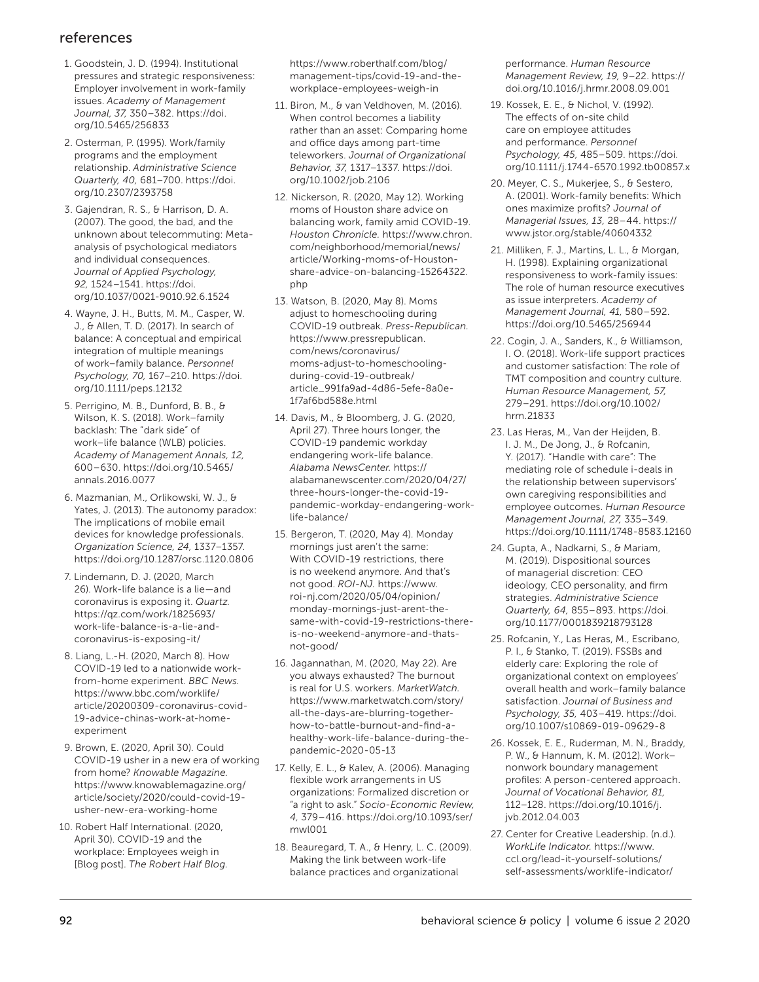# references

- 1. Goodstein, J. D. (1994). Institutional pressures and strategic responsiveness: Employer involvement in work-family issues. *Academy of Management Journal, 37,* 350–382. [https://doi.](https://doi.org/10.5465/256833) [org/10.5465/256833](https://doi.org/10.5465/256833)
- 2. Osterman, P. (1995). Work/family programs and the employment relationship. *Administrative Science Quarterly, 40,* 681–700. [https://doi.](https://doi.org/10.2307/2393758) [org/10.2307/2393758](https://doi.org/10.2307/2393758)
- 3. Gajendran, R. S., & Harrison, D. A. (2007). The good, the bad, and the unknown about telecommuting: Metaanalysis of psychological mediators and individual consequences. *Journal of Applied Psychology, 92,* 1524–1541. [https://doi.](https://doi.org/10.1037/0021-9010.92.6.1524) [org/10.1037/0021-9010.92.6.1524](https://doi.org/10.1037/0021-9010.92.6.1524)
- 4. Wayne, J. H., Butts, M. M., Casper, W. J., & Allen, T. D. (2017). In search of balance: A conceptual and empirical integration of multiple meanings of work–family balance. *Personnel Psychology, 70,* 167–210. [https://doi.](https://doi.org/10.1111/peps.12132) [org/10.1111/peps.12132](https://doi.org/10.1111/peps.12132)
- 5. Perrigino, M. B., Dunford, B. B., & Wilson, K. S. (2018). Work–family backlash: The "dark side" of work–life balance (WLB) policies. *Academy of Management Annals, 12,* 600–630. [https://doi.org/10.5465/](https://doi.org/10.5465/annals.2016.0077) [annals.2016.0077](https://doi.org/10.5465/annals.2016.0077)
- 6. Mazmanian, M., Orlikowski, W. J., & Yates, J. (2013). The autonomy paradox: The implications of mobile email devices for knowledge professionals. *Organization Science, 24,* 1337–1357. <https://doi.org/10.1287/orsc.1120.0806>
- 7. Lindemann, D. J. (2020, March 26). Work-life balance is a lie—and coronavirus is exposing it. *Quartz.* [https://qz.com/work/1825693/](https://qz.com/work/1825693/work-life-balance-is-a-lie-and-coronavirus-is-exposing-it/) [work-life-balance-is-a-lie-and](https://qz.com/work/1825693/work-life-balance-is-a-lie-and-coronavirus-is-exposing-it/)[coronavirus-is-exposing-it/](https://qz.com/work/1825693/work-life-balance-is-a-lie-and-coronavirus-is-exposing-it/)
- 8. Liang, L.-H. (2020, March 8). How COVID-19 led to a nationwide workfrom-home experiment. *BBC News.* [https://www.bbc.com/worklife/](https://www.bbc.com/worklife/article/20200309-coronavirus-covid-19-advice-chinas-work-at-home-experiment) [article/20200309-coronavirus-covid-](https://www.bbc.com/worklife/article/20200309-coronavirus-covid-19-advice-chinas-work-at-home-experiment)[19-advice-chinas-work-at-home](https://www.bbc.com/worklife/article/20200309-coronavirus-covid-19-advice-chinas-work-at-home-experiment)[experiment](https://www.bbc.com/worklife/article/20200309-coronavirus-covid-19-advice-chinas-work-at-home-experiment)
- 9. Brown, E. (2020, April 30). Could COVID-19 usher in a new era of working from home? *Knowable Magazine.* [https://www.knowablemagazine.org/](https://www.knowablemagazine.org/article/society/2020/could-covid-19-usher-new-era-working-home) [article/society/2020/could-covid-19](https://www.knowablemagazine.org/article/society/2020/could-covid-19-usher-new-era-working-home) [usher-new-era-working-home](https://www.knowablemagazine.org/article/society/2020/could-covid-19-usher-new-era-working-home)
- 10. Robert Half International. (2020, April 30). COVID-19 and the workplace: Employees weigh in [Blog post]. *The Robert Half Blog.*

[https://www.roberthalf.com/blog/](https://www.roberthalf.com/blog/management-tips/covid-19-and-the-workplace-employees-weigh-in) [management-tips/covid-19-and-the](https://www.roberthalf.com/blog/management-tips/covid-19-and-the-workplace-employees-weigh-in)[workplace-employees-weigh-in](https://www.roberthalf.com/blog/management-tips/covid-19-and-the-workplace-employees-weigh-in)

- 11. Biron, M., & van Veldhoven, M. (2016). When control becomes a liability rather than an asset: Comparing home and office days among part-time teleworkers. *Journal of Organizational Behavior, 37,* 1317–1337. [https://doi.](https://doi.org/10.1002/job.2106) [org/10.1002/job.2106](https://doi.org/10.1002/job.2106)
- 12. Nickerson, R. (2020, May 12). Working moms of Houston share advice on balancing work, family amid COVID-19. *Houston Chronicle.* [https://www.chron.](https://www.chron.com/neighborhood/memorial/news/article/Working-moms-of-Houston-share-advice-on-balancing-15264322.php) [com/neighborhood/memorial/news/](https://www.chron.com/neighborhood/memorial/news/article/Working-moms-of-Houston-share-advice-on-balancing-15264322.php) [article/Working-moms-of-Houston](https://www.chron.com/neighborhood/memorial/news/article/Working-moms-of-Houston-share-advice-on-balancing-15264322.php)[share-advice-on-balancing-15264322.](https://www.chron.com/neighborhood/memorial/news/article/Working-moms-of-Houston-share-advice-on-balancing-15264322.php) [php](https://www.chron.com/neighborhood/memorial/news/article/Working-moms-of-Houston-share-advice-on-balancing-15264322.php)
- 13. Watson, B. (2020, May 8). Moms adjust to homeschooling during COVID-19 outbreak. *Press-Republican.*  [https://www.pressrepublican.](https://www.pressrepublican.com/news/coronavirus/moms-adjust-to-homeschooling-during-covid-19-outbreak/article_991fa9ad-4d86-5efe-8a0e-1f7af6bd588e.html) [com/news/coronavirus/](https://www.pressrepublican.com/news/coronavirus/moms-adjust-to-homeschooling-during-covid-19-outbreak/article_991fa9ad-4d86-5efe-8a0e-1f7af6bd588e.html) [moms-adjust-to-homeschooling](https://www.pressrepublican.com/news/coronavirus/moms-adjust-to-homeschooling-during-covid-19-outbreak/article_991fa9ad-4d86-5efe-8a0e-1f7af6bd588e.html)[during-covid-19-outbreak/](https://www.pressrepublican.com/news/coronavirus/moms-adjust-to-homeschooling-during-covid-19-outbreak/article_991fa9ad-4d86-5efe-8a0e-1f7af6bd588e.html) [article\\_991fa9ad-4d86-5efe-8a0e-](https://www.pressrepublican.com/news/coronavirus/moms-adjust-to-homeschooling-during-covid-19-outbreak/article_991fa9ad-4d86-5efe-8a0e-1f7af6bd588e.html)[1f7af6bd588e.html](https://www.pressrepublican.com/news/coronavirus/moms-adjust-to-homeschooling-during-covid-19-outbreak/article_991fa9ad-4d86-5efe-8a0e-1f7af6bd588e.html)
- 14. Davis, M., & Bloomberg, J. G. (2020, April 27). Three hours longer, the COVID-19 pandemic workday endangering work-life balance. *Alabama NewsCenter.* [https://](https://alabamanewscenter.com/2020/04/27/three-hours-longer-the-covid-19-pandemic-workday-endangering-work-life-balance/) [alabamanewscenter.com/2020/04/27/](https://alabamanewscenter.com/2020/04/27/three-hours-longer-the-covid-19-pandemic-workday-endangering-work-life-balance/) [three-hours-longer-the-covid-19](https://alabamanewscenter.com/2020/04/27/three-hours-longer-the-covid-19-pandemic-workday-endangering-work-life-balance/) [pandemic-workday-endangering-work](https://alabamanewscenter.com/2020/04/27/three-hours-longer-the-covid-19-pandemic-workday-endangering-work-life-balance/)[life-balance/](https://alabamanewscenter.com/2020/04/27/three-hours-longer-the-covid-19-pandemic-workday-endangering-work-life-balance/)
- 15. Bergeron, T. (2020, May 4). Monday mornings just aren't the same: With COVID-19 restrictions, there is no weekend anymore. And that's not good. *ROI-NJ.* [https://www.](https://www.roi-nj.com/2020/05/04/opinion/monday-mornings-just-arent-the-same-with-covid-19-restrictions-there-is-no-weekend-anymore-and-thats-not-good/) [roi-nj.com/2020/05/04/opinion/](https://www.roi-nj.com/2020/05/04/opinion/monday-mornings-just-arent-the-same-with-covid-19-restrictions-there-is-no-weekend-anymore-and-thats-not-good/) [monday-mornings-just-arent-the](https://www.roi-nj.com/2020/05/04/opinion/monday-mornings-just-arent-the-same-with-covid-19-restrictions-there-is-no-weekend-anymore-and-thats-not-good/)[same-with-covid-19-restrictions-there](https://www.roi-nj.com/2020/05/04/opinion/monday-mornings-just-arent-the-same-with-covid-19-restrictions-there-is-no-weekend-anymore-and-thats-not-good/)[is-no-weekend-anymore-and-thats](https://www.roi-nj.com/2020/05/04/opinion/monday-mornings-just-arent-the-same-with-covid-19-restrictions-there-is-no-weekend-anymore-and-thats-not-good/)[not-good/](https://www.roi-nj.com/2020/05/04/opinion/monday-mornings-just-arent-the-same-with-covid-19-restrictions-there-is-no-weekend-anymore-and-thats-not-good/)
- 16. Jagannathan, M. (2020, May 22). Are you always exhausted? The burnout is real for U.S. workers. *MarketWatch.* [https://www.marketwatch.com/story/](https://www.marketwatch.com/story/all-the-days-are-blurring-together-how-to-battle-burnout-and-find-a-healthy-work-life-balance-during-the-pandemic-2020-05-13) [all-the-days-are-blurring-together](https://www.marketwatch.com/story/all-the-days-are-blurring-together-how-to-battle-burnout-and-find-a-healthy-work-life-balance-during-the-pandemic-2020-05-13)[how-to-battle-burnout-and-find-a](https://www.marketwatch.com/story/all-the-days-are-blurring-together-how-to-battle-burnout-and-find-a-healthy-work-life-balance-during-the-pandemic-2020-05-13)[healthy-work-life-balance-during-the](https://www.marketwatch.com/story/all-the-days-are-blurring-together-how-to-battle-burnout-and-find-a-healthy-work-life-balance-during-the-pandemic-2020-05-13)[pandemic-2020-05-13](https://www.marketwatch.com/story/all-the-days-are-blurring-together-how-to-battle-burnout-and-find-a-healthy-work-life-balance-during-the-pandemic-2020-05-13)
- 17. Kelly, E. L., & Kalev, A. (2006). Managing flexible work arrangements in US organizations: Formalized discretion or "a right to ask." *Socio-Economic Review, 4,* 379–416. [https://doi.org/10.1093/ser/](https://doi.org/10.1093/ser/mwl001) [mwl001](https://doi.org/10.1093/ser/mwl001)
- 18. Beauregard, T. A., & Henry, L. C. (2009). Making the link between work-life balance practices and organizational

performance. *Human Resource Management Review, 19,* 9–22. [https://](https://doi.org/10.1016/j.hrmr.2008.09.001) [doi.org/10.1016/j.hrmr.2008.09.001](https://doi.org/10.1016/j.hrmr.2008.09.001)

- 19. Kossek, E. E., & Nichol, V. (1992). The effects of on-site child care on employee attitudes and performance. *Personnel Psychology, 45,* 485–509. [https://doi.](https://doi.org/10.1111/j.1744-6570.1992.tb00857.x) [org/10.1111/j.1744-6570.1992.tb00857.x](https://doi.org/10.1111/j.1744-6570.1992.tb00857.x)
- 20. Meyer, C. S., Mukerjee, S., & Sestero, A. (2001). Work-family benefits: Which ones maximize profits? *Journal of Managerial Issues, 13,* 28–44. [https://](https://www.jstor.org/stable/40604332) [www.jstor.org/stable/40604332](https://www.jstor.org/stable/40604332)
- 21. Milliken, F. J., Martins, L. L., & Morgan, H. (1998). Explaining organizational responsiveness to work-family issues: The role of human resource executives as issue interpreters. *Academy of Management Journal, 41,* 580–592. <https://doi.org/10.5465/256944>
- 22. Cogin, J. A., Sanders, K., & Williamson, I. O. (2018). Work-life support practices and customer satisfaction: The role of TMT composition and country culture. *Human Resource Management, 57,* 279–291. [https://doi.org/10.1002/](https://doi.org/10.1002/hrm.21833) [hrm.21833](https://doi.org/10.1002/hrm.21833)
- 23. Las Heras, M., Van der Heijden, B. I. J. M., De Jong, J., & Rofcanin, Y. (2017). "Handle with care": The mediating role of schedule i-deals in the relationship between supervisors' own caregiving responsibilities and employee outcomes. *Human Resource Management Journal, 27,* 335–349. <https://doi.org/10.1111/1748-8583.12160>
- 24. Gupta, A., Nadkarni, S., & Mariam, M. (2019). Dispositional sources of managerial discretion: CEO ideology, CEO personality, and firm strategies. *Administrative Science Quarterly, 64,* 855–893. [https://doi.](https://doi.org/10.1177/0001839218793128) [org/10.1177/0001839218793128](https://doi.org/10.1177/0001839218793128)
- 25. Rofcanin, Y., Las Heras, M., Escribano, P. I., & Stanko, T. (2019). FSSBs and elderly care: Exploring the role of organizational context on employees' overall health and work–family balance satisfaction. *Journal of Business and Psychology, 35,* 403–419. [https://doi.](https://doi.org/10.1007/s10869-019-09629-8) [org/10.1007/s10869-019-09629-8](https://doi.org/10.1007/s10869-019-09629-8)
- 26. Kossek, E. E., Ruderman, M. N., Braddy, P. W., & Hannum, K. M. (2012). Work– nonwork boundary management profiles: A person-centered approach. *Journal of Vocational Behavior, 81,* 112–128. [https://doi.org/10.1016/j.](https://doi.org/10.1016/j.jvb.2012.04.003) [jvb.2012.04.003](https://doi.org/10.1016/j.jvb.2012.04.003)
- 27. Center for Creative Leadership. (n.d.). *WorkLife Indicator.* [https://www.](https://www.ccl.org/lead-it-yourself-solutions/self-assessments/worklife-indicator/) [ccl.org/lead-it-yourself-solutions/](https://www.ccl.org/lead-it-yourself-solutions/self-assessments/worklife-indicator/) [self-assessments/worklife-indicator/](https://www.ccl.org/lead-it-yourself-solutions/self-assessments/worklife-indicator/)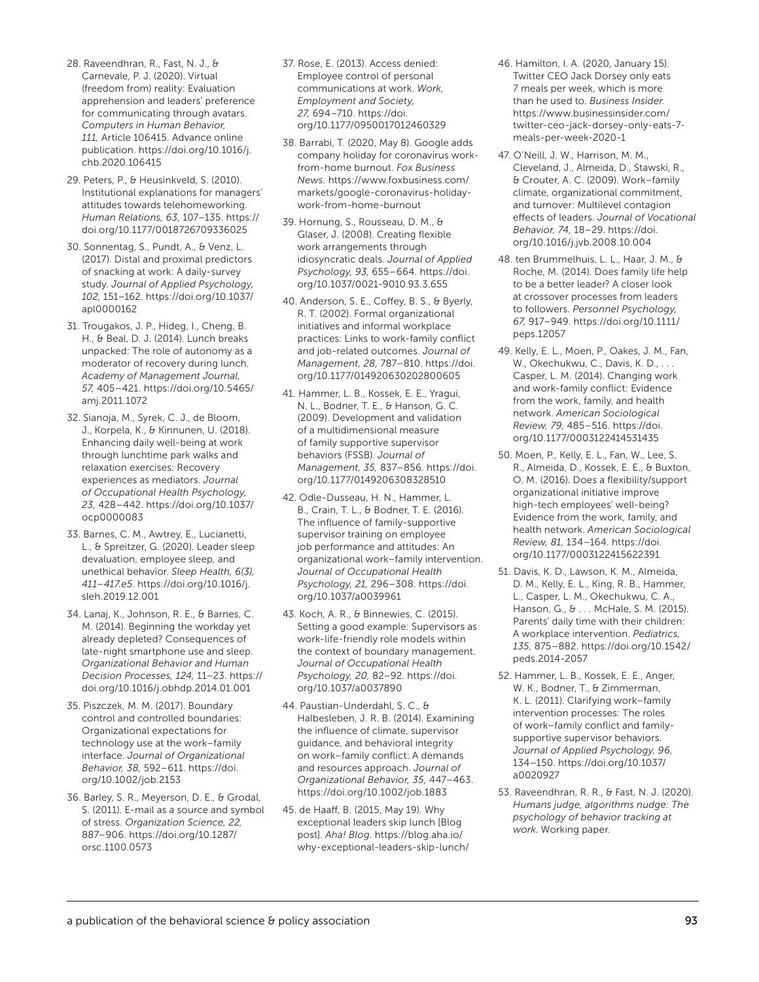- 28. Raveendhran, R., Fast, N. J., & Carnevale, P. J. (2020). Virtual (freedom from) reality: Evaluation apprehension and leaders' preference for communicating through avatars. *Computers in Human Behavior, 111,* Article 106415. Advance online publication. [https://doi.org/10.1016/j.](https://doi.org/10.1016/j.chb.2020.106415) [chb.2020.106415](https://doi.org/10.1016/j.chb.2020.106415)
- 29. Peters, P., & Heusinkveld, S. (2010). Institutional explanations for managers' attitudes towards telehomeworking. *Human Relations, 63,* 107–135. [https://](https://doi.org/10.1177/0018726709336025) [doi.org/10.1177/0018726709336025](https://doi.org/10.1177/0018726709336025)
- 30. Sonnentag, S., Pundt, A., & Venz, L. (2017). Distal and proximal predictors of snacking at work: A daily-survey study. *Journal of Applied Psychology, 102,* 151–162. [https://doi.org/10.1037/](https://doi.org/10.1037/apl0000162) [apl0000162](https://doi.org/10.1037/apl0000162)
- 31. Trougakos, J. P., Hideg, I., Cheng, B. H., & Beal, D. J. (2014). Lunch breaks unpacked: The role of autonomy as a moderator of recovery during lunch. *Academy of Management Journal, 57,* 405–421. [https://doi.org/10.5465/](https://doi.org/10.5465/amj.2011.1072) [amj.2011.1072](https://doi.org/10.5465/amj.2011.1072)
- 32. Sianoja, M., Syrek, C. J., de Bloom, J., Korpela, K., & Kinnunen, U. (2018). Enhancing daily well-being at work through lunchtime park walks and relaxation exercises: Recovery experiences as mediators. *Journal of Occupational Health Psychology, 23,* 428–442. [https://doi.org/10.1037/](https://doi.org/10.1037/ocp0000083) [ocp0000083](https://doi.org/10.1037/ocp0000083)
- 33. Barnes, C. M., Awtrey, E., Lucianetti, L., & Spreitzer, G. (2020). Leader sleep devaluation, employee sleep, and unethical behavior. *Sleep Health, 6(3), 411–417.e5*. [https://doi.org/10.1016/j.](https://doi.org/10.1016/j.sleh.2019.12.001) [sleh.2019.12.001](https://doi.org/10.1016/j.sleh.2019.12.001)
- 34. Lanaj, K., Johnson, R. E., & Barnes, C. M. (2014). Beginning the workday yet already depleted? Consequences of late-night smartphone use and sleep. *Organizational Behavior and Human Decision Processes, 124,* 11–23. [https://](https://doi.org/10.1016/j.obhdp.2014.01.001) [doi.org/10.1016/j.obhdp.2014.01.001](https://doi.org/10.1016/j.obhdp.2014.01.001)
- 35. Piszczek, M. M. (2017). Boundary control and controlled boundaries: Organizational expectations for technology use at the work–family interface. *Journal of Organizational Behavior, 38,* 592–611. [https://doi.](https://doi.org/10.1002/job.2153) [org/10.1002/job.2153](https://doi.org/10.1002/job.2153)
- 36. Barley, S. R., Meyerson, D. E., & Grodal, S. (2011). E-mail as a source and symbol of stress. *Organization Science, 22,* 887–906. [https://doi.org/10.1287/](https://doi.org/10.1287/orsc.1100.0573) [orsc.1100.0573](https://doi.org/10.1287/orsc.1100.0573)
- 37. Rose, E. (2013). Access denied: Employee control of personal communications at work. *Work, Employment and Society, 27,* 694–710. [https://doi.](https://doi.org/10.1177/0950017012460329) [org/10.1177/0950017012460329](https://doi.org/10.1177/0950017012460329)
- 38. Barrabi, T. (2020, May 8). Google adds company holiday for coronavirus workfrom-home burnout. *Fox Business News.* [https://www.foxbusiness.com/](https://www.foxbusiness.com/markets/google-coronavirus-holiday-work-from-home-burnout) [markets/google-coronavirus-holiday](https://www.foxbusiness.com/markets/google-coronavirus-holiday-work-from-home-burnout)[work-from-home-burnout](https://www.foxbusiness.com/markets/google-coronavirus-holiday-work-from-home-burnout)
- 39. Hornung, S., Rousseau, D. M., & Glaser, J. (2008). Creating flexible work arrangements through idiosyncratic deals. *Journal of Applied Psychology, 93,* 655–664. [https://doi.](https://doi.org/10.1037/0021-9010.93.3.655) [org/10.1037/0021-9010.93.3.655](https://doi.org/10.1037/0021-9010.93.3.655)
- 40. Anderson, S. E., Coffey, B. S., & Byerly, R. T. (2002). Formal organizational initiatives and informal workplace practices: Links to work-family conflict and job-related outcomes. *Journal of Management, 28,* 787–810. [https://doi.](https://doi.org/10.1177/014920630202800605) [org/10.1177/014920630202800605](https://doi.org/10.1177/014920630202800605)
- 41. Hammer, L. B., Kossek, E. E., Yragui, N. L., Bodner, T. E., & Hanson, G. C. (2009). Development and validation of a multidimensional measure of family supportive supervisor behaviors (FSSB). *Journal of Management, 35,* 837–856. [https://doi.](https://doi.org/10.1177/0149206308328510) [org/10.1177/0149206308328510](https://doi.org/10.1177/0149206308328510)
- 42. Odle-Dusseau, H. N., Hammer, L. B., Crain, T. L., & Bodner, T. E. (2016). The influence of family-supportive supervisor training on employee job performance and attitudes: An organizational work–family intervention. *Journal of Occupational Health Psychology, 21,* 296–308. [https://doi.](https://doi.org/10.1037/a0039961) [org/10.1037/a0039961](https://doi.org/10.1037/a0039961)
- 43. Koch, A. R., & Binnewies, C. (2015). Setting a good example: Supervisors as work-life-friendly role models within the context of boundary management. *Journal of Occupational Health Psychology, 20,* 82–92. [https://doi.](https://doi.org/10.1037/a0037890) [org/10.1037/a0037890](https://doi.org/10.1037/a0037890)
- 44. Paustian-Underdahl, S. C., & Halbesleben, J. R. B. (2014). Examining the influence of climate, supervisor guidance, and behavioral integrity on work–family conflict: A demands and resources approach. *Journal of Organizational Behavior, 35,* 447–463. <https://doi.org/10.1002/job.1883>
- 45. de Haaff, B. (2015, May 19). Why exceptional leaders skip lunch [Blog post]. *Aha! Blog.* [https://blog.aha.io/](https://blog.aha.io/why-exceptional-leaders-skip-lunch/) [why-exceptional-leaders-skip-lunch/](https://blog.aha.io/why-exceptional-leaders-skip-lunch/)
- 46. Hamilton, I. A. (2020, January 15). Twitter CEO Jack Dorsey only eats 7 meals per week, which is more than he used to. *Business Insider.* [https://www.businessinsider.com/](https://www.businessinsider.com/twitter-ceo-jack-dorsey-only-eats-7-meals-per-week-2020-1) [twitter-ceo-jack-dorsey-only-eats-7](https://www.businessinsider.com/twitter-ceo-jack-dorsey-only-eats-7-meals-per-week-2020-1) [meals-per-week-2020-1](https://www.businessinsider.com/twitter-ceo-jack-dorsey-only-eats-7-meals-per-week-2020-1)
- 47. O'Neill, J. W., Harrison, M. M., Cleveland, J., Almeida, D., Stawski, R., & Crouter, A. C. (2009). Work–family climate, organizational commitment, and turnover: Multilevel contagion effects of leaders. *Journal of Vocational Behavior, 74,* 18–29. [https://doi.](https://doi.org/10.1016/j.jvb.2008.10.004) [org/10.1016/j.jvb.2008.10.004](https://doi.org/10.1016/j.jvb.2008.10.004)
- 48. ten Brummelhuis, L. L., Haar, J. M., & Roche, M. (2014). Does family life help to be a better leader? A closer look at crossover processes from leaders to followers. *Personnel Psychology, 67,* 917–949. [https://doi.org/10.1111/](https://doi.org/10.1111/peps.12057) [peps.12057](https://doi.org/10.1111/peps.12057)
- 49. Kelly, E. L., Moen, P., Oakes, J. M., Fan, W., Okechukwu, C., Davis, K. D., . . Casper, L. M. (2014). Changing work and work-family conflict: Evidence from the work, family, and health network. *American Sociological Review, 79,* 485–516. [https://doi.](https://doi.org/10.1177/0003122414531435) [org/10.1177/0003122414531435](https://doi.org/10.1177/0003122414531435)
- 50. Moen, P., Kelly, E. L., Fan, W., Lee, S. R., Almeida, D., Kossek, E. E., & Buxton, O. M. (2016). Does a flexibility/support organizational initiative improve high-tech employees' well-being? Evidence from the work, family, and health network. *American Sociological Review, 81,* 134–164. [https://doi.](https://doi.org/10.1177/0003122415622391) [org/10.1177/0003122415622391](https://doi.org/10.1177/0003122415622391)
- 51. Davis, K. D., Lawson, K. M., Almeida, D. M., Kelly, E. L., King, R. B., Hammer, L., Casper, L. M., Okechukwu, C. A., Hanson, G., & . . . McHale, S. M. (2015). Parents' daily time with their children: A workplace intervention. *Pediatrics, 135,* 875–882. [https://doi.org/10.1542/](https://doi.org/10.1542/peds.2014-2057) [peds.2014-2057](https://doi.org/10.1542/peds.2014-2057)
- 52. Hammer, L. B., Kossek, E. E., Anger, W. K., Bodner, T., & Zimmerman, K. L. (2011). Clarifying work–family intervention processes: The roles of work–family conflict and familysupportive supervisor behaviors. *Journal of Applied Psychology, 96,* 134–150. [https://doi.org/10.1037/](https://doi.org/10.1037/a0020927) [a0020927](https://doi.org/10.1037/a0020927)
- 53. Raveendhran, R. R., & Fast, N. J. (2020). *Humans judge, algorithms nudge: The psychology of behavior tracking at work*. Working paper.